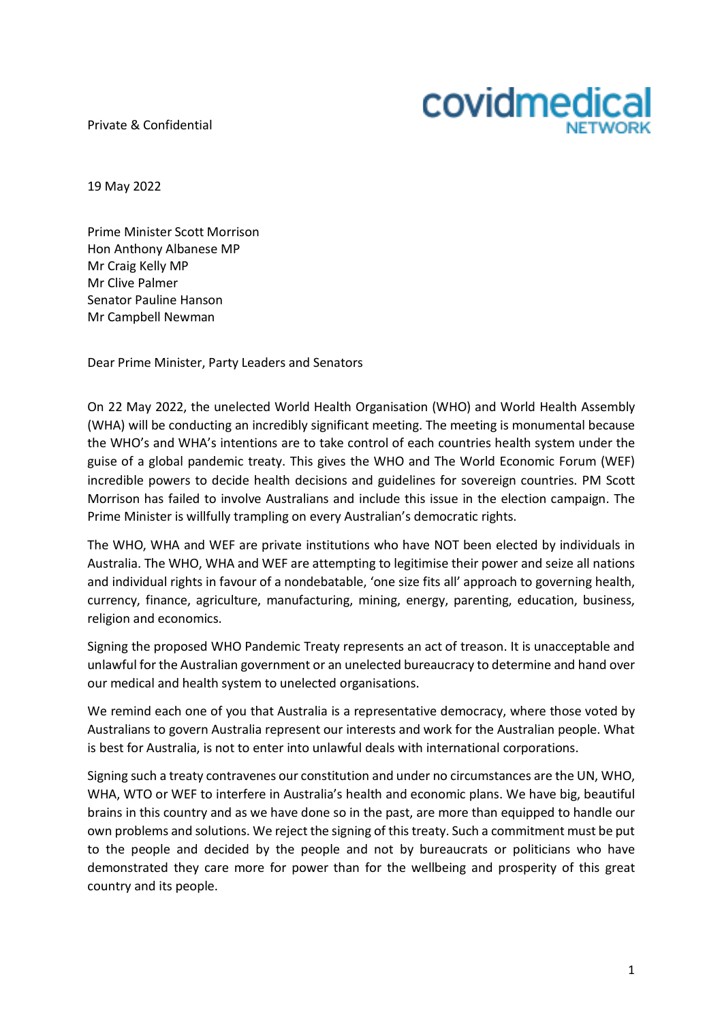Private & Confidential



19 May 2022

Prime Minister Scott Morrison Hon Anthony Albanese MP Mr Craig Kelly MP Mr Clive Palmer Senator Pauline Hanson Mr Campbell Newman

Dear Prime Minister, Party Leaders and Senators

On 22 May 2022, the unelected World Health Organisation (WHO) and World Health Assembly (WHA) will be conducting an incredibly significant meeting. The meeting is monumental because the WHO's and WHA's intentions are to take control of each countries health system under the guise of a global pandemic treaty. This gives the WHO and The World Economic Forum (WEF) incredible powers to decide health decisions and guidelines for sovereign countries. PM Scott Morrison has failed to involve Australians and include this issue in the election campaign. The Prime Minister is willfully trampling on every Australian's democratic rights.

The WHO, WHA and WEF are private institutions who have NOT been elected by individuals in Australia. The WHO, WHA and WEF are attempting to legitimise their power and seize all nations and individual rights in favour of a nondebatable, 'one size fits all' approach to governing health, currency, finance, agriculture, manufacturing, mining, energy, parenting, education, business, religion and economics.

Signing the proposed WHO Pandemic Treaty represents an act of treason. It is unacceptable and unlawful for the Australian government or an unelected bureaucracy to determine and hand over our medical and health system to unelected organisations.

We remind each one of you that Australia is a representative democracy, where those voted by Australians to govern Australia represent our interests and work for the Australian people. What is best for Australia, is not to enter into unlawful deals with international corporations.

Signing such a treaty contravenes our constitution and under no circumstances are the UN, WHO, WHA, WTO or WEF to interfere in Australia's health and economic plans. We have big, beautiful brains in this country and as we have done so in the past, are more than equipped to handle our own problems and solutions. We reject the signing of this treaty. Such a commitment must be put to the people and decided by the people and not by bureaucrats or politicians who have demonstrated they care more for power than for the wellbeing and prosperity of this great country and its people.